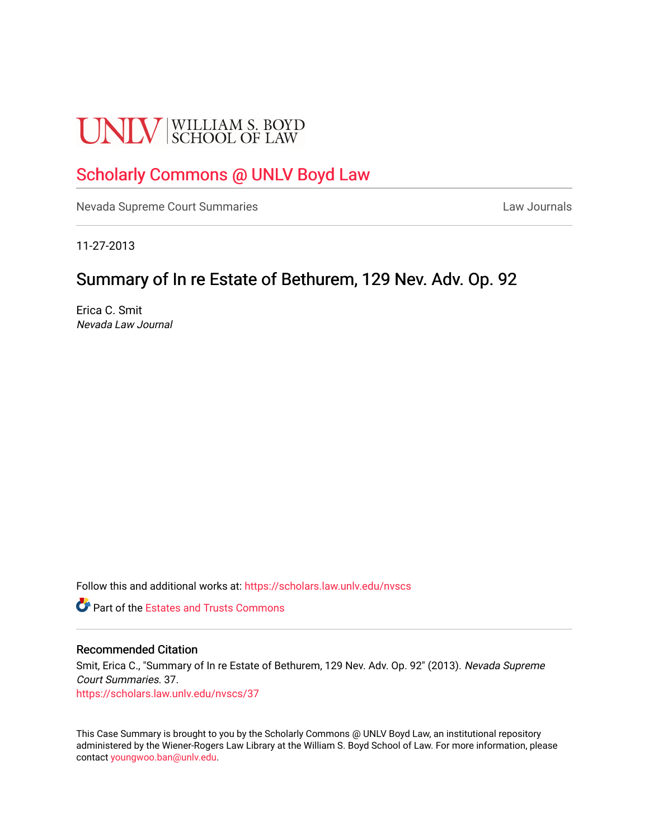# **UNLV** SCHOOL OF LAW

# [Scholarly Commons @ UNLV Boyd Law](https://scholars.law.unlv.edu/)

[Nevada Supreme Court Summaries](https://scholars.law.unlv.edu/nvscs) **Law Journals** Law Journals

11-27-2013

# Summary of In re Estate of Bethurem, 129 Nev. Adv. Op. 92

Erica C. Smit Nevada Law Journal

Follow this and additional works at: [https://scholars.law.unlv.edu/nvscs](https://scholars.law.unlv.edu/nvscs?utm_source=scholars.law.unlv.edu%2Fnvscs%2F37&utm_medium=PDF&utm_campaign=PDFCoverPages)

**C** Part of the Estates and Trusts Commons

#### Recommended Citation

Smit, Erica C., "Summary of In re Estate of Bethurem, 129 Nev. Adv. Op. 92" (2013). Nevada Supreme Court Summaries. 37. [https://scholars.law.unlv.edu/nvscs/37](https://scholars.law.unlv.edu/nvscs/37?utm_source=scholars.law.unlv.edu%2Fnvscs%2F37&utm_medium=PDF&utm_campaign=PDFCoverPages) 

This Case Summary is brought to you by the Scholarly Commons @ UNLV Boyd Law, an institutional repository administered by the Wiener-Rogers Law Library at the William S. Boyd School of Law. For more information, please contact [youngwoo.ban@unlv.edu](mailto:youngwoo.ban@unlv.edu).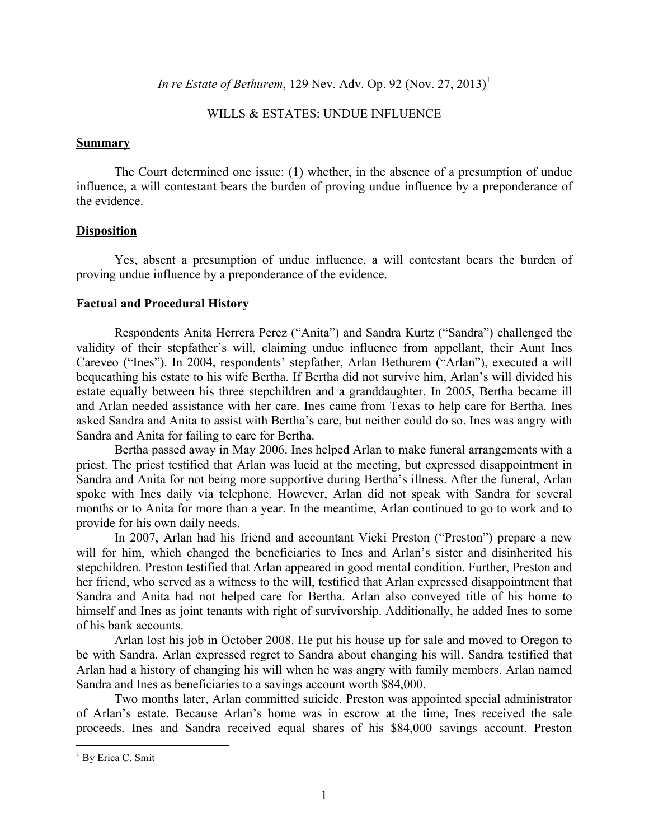*In re Estate of Bethurem*, 129 Nev. Adv. Op. 92 (Nov. 27, 2013)<sup>1</sup>

# WILLS & ESTATES: UNDUE INFLUENCE

### **Summary**

The Court determined one issue: (1) whether, in the absence of a presumption of undue influence, a will contestant bears the burden of proving undue influence by a preponderance of the evidence.

# **Disposition**

Yes, absent a presumption of undue influence, a will contestant bears the burden of proving undue influence by a preponderance of the evidence.

# **Factual and Procedural History**

Respondents Anita Herrera Perez ("Anita") and Sandra Kurtz ("Sandra") challenged the validity of their stepfather's will, claiming undue influence from appellant, their Aunt Ines Careveo ("Ines"). In 2004, respondents' stepfather, Arlan Bethurem ("Arlan"), executed a will bequeathing his estate to his wife Bertha. If Bertha did not survive him, Arlan's will divided his estate equally between his three stepchildren and a granddaughter. In 2005, Bertha became ill and Arlan needed assistance with her care. Ines came from Texas to help care for Bertha. Ines asked Sandra and Anita to assist with Bertha's care, but neither could do so. Ines was angry with Sandra and Anita for failing to care for Bertha.

Bertha passed away in May 2006. Ines helped Arlan to make funeral arrangements with a priest. The priest testified that Arlan was lucid at the meeting, but expressed disappointment in Sandra and Anita for not being more supportive during Bertha's illness. After the funeral, Arlan spoke with Ines daily via telephone. However, Arlan did not speak with Sandra for several months or to Anita for more than a year. In the meantime, Arlan continued to go to work and to provide for his own daily needs.

In 2007, Arlan had his friend and accountant Vicki Preston ("Preston") prepare a new will for him, which changed the beneficiaries to Ines and Arlan's sister and disinherited his stepchildren. Preston testified that Arlan appeared in good mental condition. Further, Preston and her friend, who served as a witness to the will, testified that Arlan expressed disappointment that Sandra and Anita had not helped care for Bertha. Arlan also conveyed title of his home to himself and Ines as joint tenants with right of survivorship. Additionally, he added Ines to some of his bank accounts.

Arlan lost his job in October 2008. He put his house up for sale and moved to Oregon to be with Sandra. Arlan expressed regret to Sandra about changing his will. Sandra testified that Arlan had a history of changing his will when he was angry with family members. Arlan named Sandra and Ines as beneficiaries to a savings account worth \$84,000.

Two months later, Arlan committed suicide. Preston was appointed special administrator of Arlan's estate. Because Arlan's home was in escrow at the time, Ines received the sale proceeds. Ines and Sandra received equal shares of his \$84,000 savings account. Preston

<sup>&</sup>lt;sup>1</sup> By Erica C. Smit